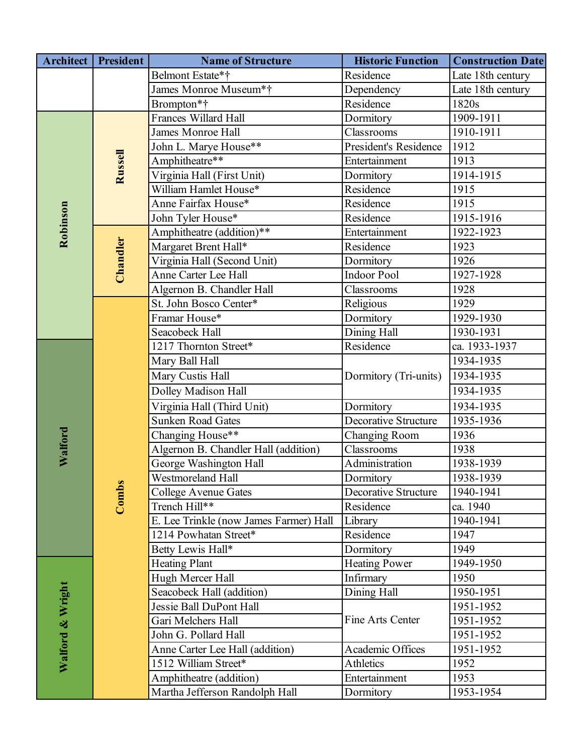| Architect        | <b>President</b> | <b>Name of Structure</b>               | <b>Historic Function</b> | <b>Construction Date</b> |
|------------------|------------------|----------------------------------------|--------------------------|--------------------------|
|                  |                  | Belmont Estate*†                       | Residence                | Late 18th century        |
|                  |                  | James Monroe Museum*†                  | Dependency               | Late 18th century        |
|                  |                  | Brompton*†                             | Residence                | 1820s                    |
| Robinson         | Russell          | Frances Willard Hall                   | Dormitory                | 1909-1911                |
|                  |                  | James Monroe Hall                      | Classrooms               | 1910-1911                |
|                  |                  | John L. Marye House**                  | President's Residence    | 1912                     |
|                  |                  | Amphitheatre**                         | Entertainment            | 1913                     |
|                  |                  | Virginia Hall (First Unit)             | Dormitory                | 1914-1915                |
|                  |                  | William Hamlet House*                  | Residence                | 1915                     |
|                  |                  | Anne Fairfax House*                    | Residence                | 1915                     |
|                  |                  | John Tyler House*                      | Residence                | 1915-1916                |
|                  | Chandler         | Amphitheatre (addition)**              | Entertainment            | 1922-1923                |
|                  |                  | Margaret Brent Hall*                   | Residence                | 1923                     |
|                  |                  | Virginia Hall (Second Unit)            | Dormitory                | 1926                     |
|                  |                  | Anne Carter Lee Hall                   | <b>Indoor Pool</b>       | 1927-1928                |
|                  |                  | Algernon B. Chandler Hall              | Classrooms               | 1928                     |
|                  | Combs            | St. John Bosco Center*                 | Religious                | 1929                     |
|                  |                  | Framar House*                          | Dormitory                | 1929-1930                |
|                  |                  | Seacobeck Hall                         | Dining Hall              | 1930-1931                |
|                  |                  | 1217 Thornton Street*                  | Residence                | ca. 1933-1937            |
|                  |                  | Mary Ball Hall                         | Dormitory (Tri-units)    | 1934-1935                |
|                  |                  | Mary Custis Hall                       |                          | 1934-1935                |
|                  |                  | Dolley Madison Hall                    |                          | 1934-1935                |
|                  |                  | Virginia Hall (Third Unit)             | Dormitory                | 1934-1935                |
|                  |                  | <b>Sunken Road Gates</b>               | Decorative Structure     | 1935-1936                |
|                  |                  | Changing House**                       | Changing Room            | 1936                     |
| Walford          |                  | Algernon B. Chandler Hall (addition)   | Classrooms               | 1938                     |
|                  |                  | George Washington Hall                 | Administration           | 1938-1939                |
|                  |                  | Westmoreland Hall                      | Dormitory                | 1938-1939                |
|                  |                  | College Avenue Gates                   | Decorative Structure     | 1940-1941                |
|                  |                  | Trench Hill**                          | Residence                | ca. 1940                 |
|                  |                  | E. Lee Trinkle (now James Farmer) Hall | Library                  | 1940-1941                |
|                  |                  | 1214 Powhatan Street*                  | Residence                | 1947                     |
|                  |                  | Betty Lewis Hall*                      | Dormitory                | 1949                     |
|                  |                  | <b>Heating Plant</b>                   | <b>Heating Power</b>     | 1949-1950                |
|                  |                  | Hugh Mercer Hall                       | Infirmary                | 1950                     |
|                  |                  | Seacobeck Hall (addition)              | Dining Hall              | 1950-1951                |
| Walford & Wright |                  | Jessie Ball DuPont Hall                | Fine Arts Center         | 1951-1952                |
|                  |                  | Gari Melchers Hall                     |                          | 1951-1952                |
|                  |                  | John G. Pollard Hall                   |                          | 1951-1952                |
|                  |                  | Anne Carter Lee Hall (addition)        | Academic Offices         | 1951-1952                |
|                  |                  | 1512 William Street*                   | Athletics                | 1952                     |
|                  |                  | Amphitheatre (addition)                | Entertainment            | 1953                     |
|                  |                  | Martha Jefferson Randolph Hall         | Dormitory                | 1953-1954                |